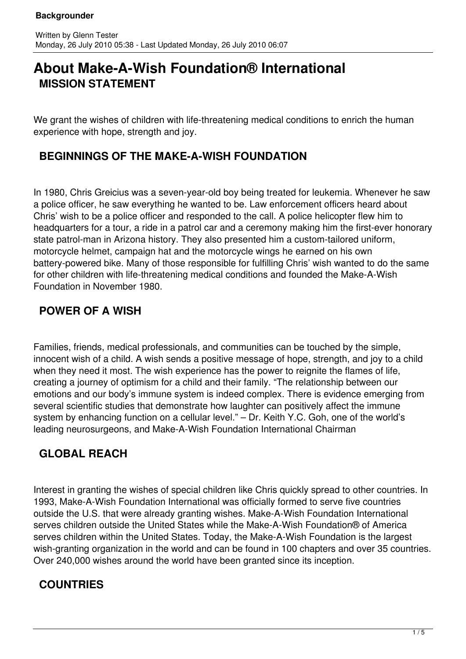# **About Make-A-Wish Foundation® International MISSION STATEMENT**

We grant the wishes of children with life-threatening medical conditions to enrich the human experience with hope, strength and joy.

## **BEGINNINGS OF THE MAKE-A-WISH FOUNDATION**

In 1980, Chris Greicius was a seven-year-old boy being treated for leukemia. Whenever he saw a police officer, he saw everything he wanted to be. Law enforcement officers heard about Chris' wish to be a police officer and responded to the call. A police helicopter flew him to headquarters for a tour, a ride in a patrol car and a ceremony making him the first-ever honorary state patrol-man in Arizona history. They also presented him a custom-tailored uniform, motorcycle helmet, campaign hat and the motorcycle wings he earned on his own battery-powered bike. Many of those responsible for fulfilling Chris' wish wanted to do the same for other children with life-threatening medical conditions and founded the Make-A-Wish Foundation in November 1980.

## **POWER OF A WISH**

Families, friends, medical professionals, and communities can be touched by the simple, innocent wish of a child. A wish sends a positive message of hope, strength, and joy to a child when they need it most. The wish experience has the power to reignite the flames of life, creating a journey of optimism for a child and their family. "The relationship between our emotions and our body's immune system is indeed complex. There is evidence emerging from several scientific studies that demonstrate how laughter can positively affect the immune system by enhancing function on a cellular level." – Dr. Keith Y.C. Goh, one of the world's leading neurosurgeons, and Make-A-Wish Foundation International Chairman

## **GLOBAL REACH**

Interest in granting the wishes of special children like Chris quickly spread to other countries. In 1993, Make-A-Wish Foundation International was officially formed to serve five countries outside the U.S. that were already granting wishes. Make-A-Wish Foundation International serves children outside the United States while the Make-A-Wish Foundation® of America serves children within the United States. Today, the Make-A-Wish Foundation is the largest wish-granting organization in the world and can be found in 100 chapters and over 35 countries. Over 240,000 wishes around the world have been granted since its inception.

### **COUNTRIES**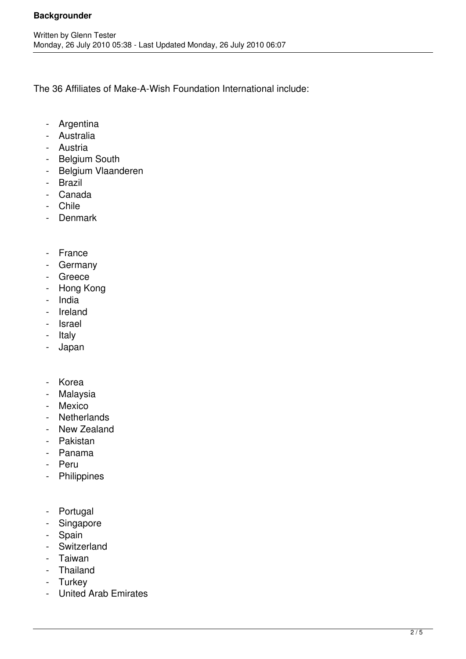The 36 Affiliates of Make-A-Wish Foundation International include:

- Argentina
- Australia
- Austria
- Belgium South
- Belgium Vlaanderen
- Brazil
- Canada
- Chile
- Denmark
- France
- Germany
- Greece
- Hong Kong
- India
- Ireland
- Israel
- Italy
- Japan
- Korea
- Malaysia
- Mexico
- Netherlands
- New Zealand
- Pakistan
- Panama
- Peru
- Philippines
- Portugal
- Singapore
- Spain
- Switzerland
- Taiwan
- Thailand
- Turkey
- United Arab Emirates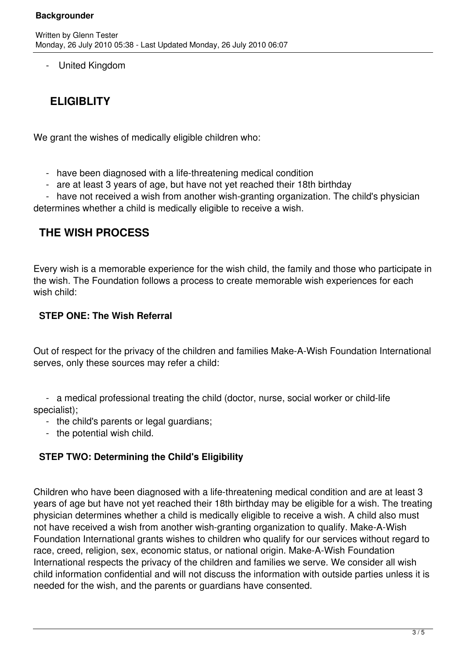United Kingdom

## **ELIGIBLITY**

We grant the wishes of medically eligible children who:

- have been diagnosed with a life-threatening medical condition
- are at least 3 years of age, but have not yet reached their 18th birthday

 - have not received a wish from another wish-granting organization. The child's physician determines whether a child is medically eligible to receive a wish.

## **THE WISH PROCESS**

Every wish is a memorable experience for the wish child, the family and those who participate in the wish. The Foundation follows a process to create memorable wish experiences for each wish child:

#### **STEP ONE: The Wish Referral**

Out of respect for the privacy of the children and families Make-A-Wish Foundation International serves, only these sources may refer a child:

 - a medical professional treating the child (doctor, nurse, social worker or child-life specialist);

- the child's parents or legal guardians;
- the potential wish child.

#### **STEP TWO: Determining the Child's Eligibility**

Children who have been diagnosed with a life-threatening medical condition and are at least 3 years of age but have not yet reached their 18th birthday may be eligible for a wish. The treating physician determines whether a child is medically eligible to receive a wish. A child also must not have received a wish from another wish-granting organization to qualify. Make-A-Wish Foundation International grants wishes to children who qualify for our services without regard to race, creed, religion, sex, economic status, or national origin. Make-A-Wish Foundation International respects the privacy of the children and families we serve. We consider all wish child information confidential and will not discuss the information with outside parties unless it is needed for the wish, and the parents or guardians have consented.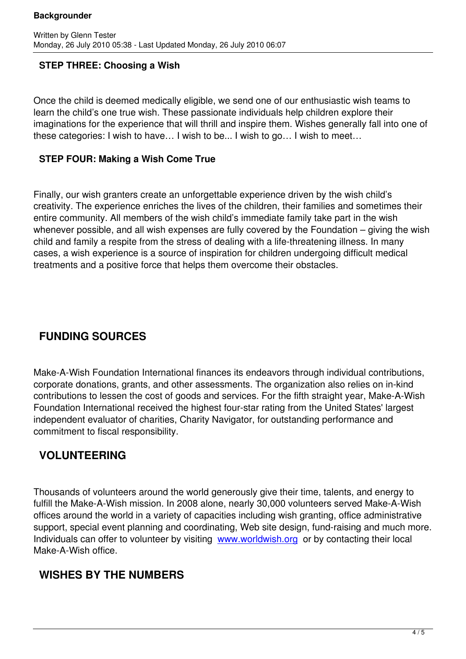#### **STEP THREE: Choosing a Wish**

Once the child is deemed medically eligible, we send one of our enthusiastic wish teams to learn the child's one true wish. These passionate individuals help children explore their imaginations for the experience that will thrill and inspire them. Wishes generally fall into one of these categories: I wish to have… I wish to be... I wish to go… I wish to meet…

#### **STEP FOUR: Making a Wish Come True**

Finally, our wish granters create an unforgettable experience driven by the wish child's creativity. The experience enriches the lives of the children, their families and sometimes their entire community. All members of the wish child's immediate family take part in the wish whenever possible, and all wish expenses are fully covered by the Foundation – giving the wish child and family a respite from the stress of dealing with a life-threatening illness. In many cases, a wish experience is a source of inspiration for children undergoing difficult medical treatments and a positive force that helps them overcome their obstacles.

## **FUNDING SOURCES**

Make-A-Wish Foundation International finances its endeavors through individual contributions, corporate donations, grants, and other assessments. The organization also relies on in-kind contributions to lessen the cost of goods and services. For the fifth straight year, Make-A-Wish Foundation International received the highest four-star rating from the United States' largest independent evaluator of charities, Charity Navigator, for outstanding performance and commitment to fiscal responsibility.

## **VOLUNTEERING**

Thousands of volunteers around the world generously give their time, talents, and energy to fulfill the Make-A-Wish mission. In 2008 alone, nearly 30,000 volunteers served Make-A-Wish offices around the world in a variety of capacities including wish granting, office administrative support, special event planning and coordinating, Web site design, fund-raising and much more. Individuals can offer to volunteer by visiting www.worldwish.org or by contacting their local Make-A-Wish office.

## **WISHES BY THE NUMBERS**